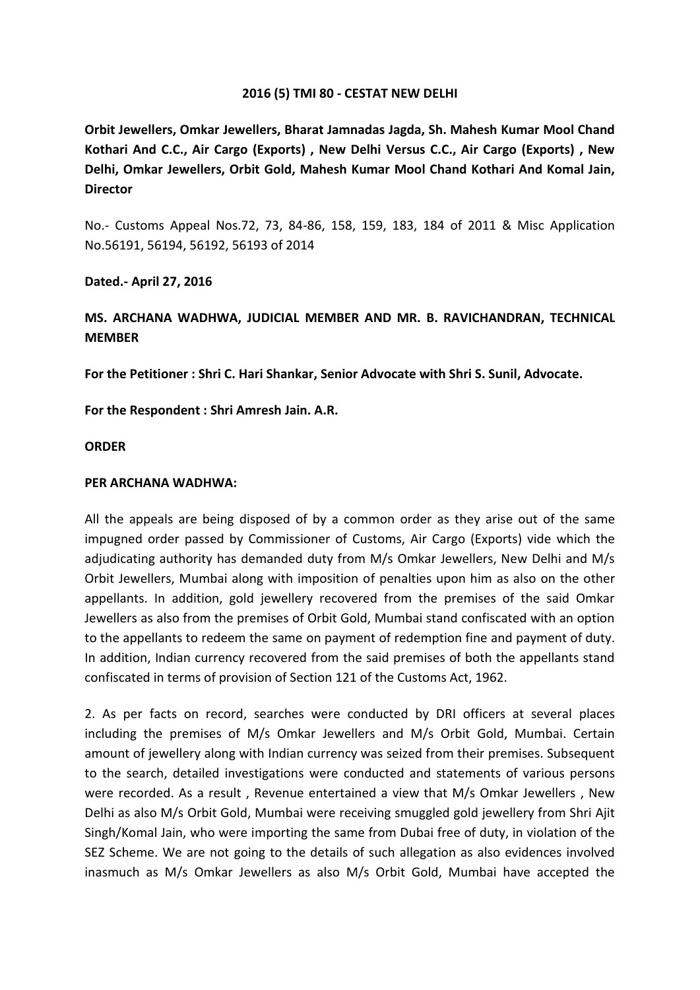# **2016 (5) TMI 80 - CESTAT NEW DELHI**

**Orbit Jewellers, Omkar Jewellers, Bharat Jamnadas Jagda, Sh. Mahesh Kumar Mool Chand Kothari And C.C., Air Cargo (Exports) , New Delhi Versus C.C., Air Cargo (Exports) , New Delhi, Omkar Jewellers, Orbit Gold, Mahesh Kumar Mool Chand Kothari And Komal Jain, Director**

No.- Customs Appeal Nos.72, 73, 84-86, 158, 159, 183, 184 of 2011 & Misc Application No.56191, 56194, 56192, 56193 of 2014

# **Dated.- April 27, 2016**

# **MS. ARCHANA WADHWA, JUDICIAL MEMBER AND MR. B. RAVICHANDRAN, TECHNICAL MEMBER**

**For the Petitioner : Shri C. Hari Shankar, Senior Advocate with Shri S. Sunil, Advocate.**

**For the Respondent : Shri Amresh Jain. A.R.**

## **ORDER**

## **PER ARCHANA WADHWA:**

All the appeals are being disposed of by a common order as they arise out of the same impugned order passed by Commissioner of Customs, Air Cargo (Exports) vide which the adjudicating authority has demanded duty from M/s Omkar Jewellers, New Delhi and M/s Orbit Jewellers, Mumbai along with imposition of penalties upon him as also on the other appellants. In addition, gold jewellery recovered from the premises of the said Omkar Jewellers as also from the premises of Orbit Gold, Mumbai stand confiscated with an option to the appellants to redeem the same on payment of redemption fine and payment of duty. In addition, Indian currency recovered from the said premises of both the appellants stand confiscated in terms of provision of Section 121 of the Customs Act, 1962.

2. As per facts on record, searches were conducted by DRI officers at several places including the premises of M/s Omkar Jewellers and M/s Orbit Gold, Mumbai. Certain amount of jewellery along with Indian currency was seized from their premises. Subsequent to the search, detailed investigations were conducted and statements of various persons were recorded. As a result , Revenue entertained a view that M/s Omkar Jewellers , New Delhi as also M/s Orbit Gold, Mumbai were receiving smuggled gold jewellery from Shri Ajit Singh/Komal Jain, who were importing the same from Dubai free of duty, in violation of the SEZ Scheme. We are not going to the details of such allegation as also evidences involved inasmuch as M/s Omkar Jewellers as also M/s Orbit Gold, Mumbai have accepted the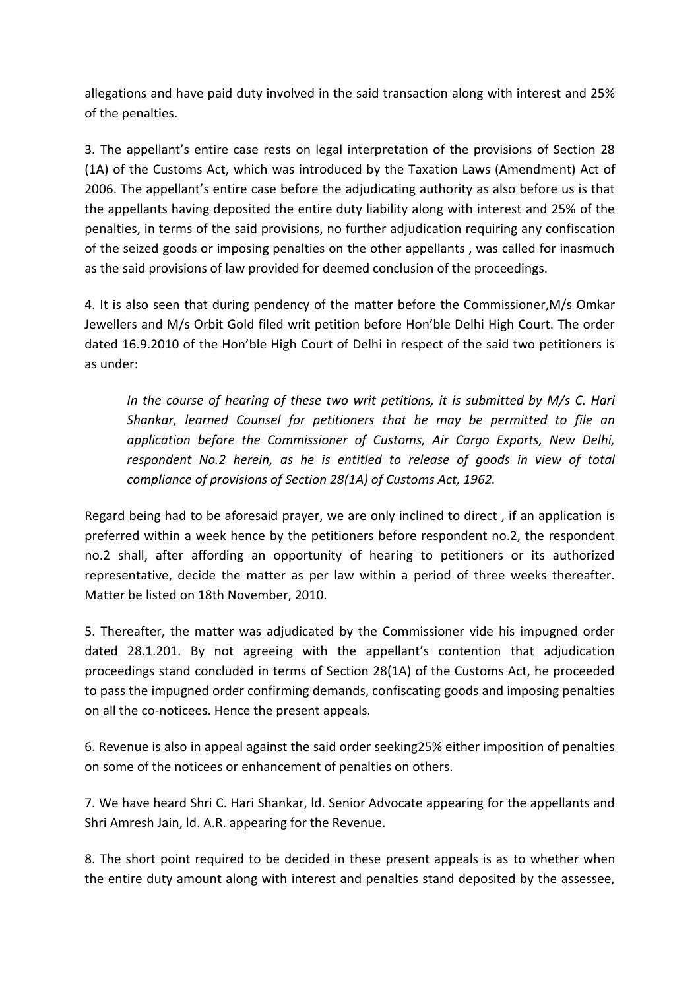allegations and have paid duty involved in the said transaction along with interest and 25% of the penalties.

3. The appellant's entire case rests on legal interpretation of the provisions of Section 28 (1A) of the Customs Act, which was introduced by the Taxation Laws (Amendment) Act of 2006. The appellant's entire case before the adjudicating authority as also before us is that the appellants having deposited the entire duty liability along with interest and 25% of the penalties, in terms of the said provisions, no further adjudication requiring any confiscation of the seized goods or imposing penalties on the other appellants , was called for inasmuch as the said provisions of law provided for deemed conclusion of the proceedings.

4. It is also seen that during pendency of the matter before the Commissioner,M/s Omkar Jewellers and M/s Orbit Gold filed writ petition before Hon'ble Delhi High Court. The order dated 16.9.2010 of the Hon'ble High Court of Delhi in respect of the said two petitioners is as under:

*In the course of hearing of these two writ petitions, it is submitted by M/s C. Hari Shankar, learned Counsel for petitioners that he may be permitted to file an application before the Commissioner of Customs, Air Cargo Exports, New Delhi, respondent No.2 herein, as he is entitled to release of goods in view of total compliance of provisions of Section 28(1A) of Customs Act, 1962.*

Regard being had to be aforesaid prayer, we are only inclined to direct , if an application is preferred within a week hence by the petitioners before respondent no.2, the respondent no.2 shall, after affording an opportunity of hearing to petitioners or its authorized representative, decide the matter as per law within a period of three weeks thereafter. Matter be listed on 18th November, 2010.

5. Thereafter, the matter was adjudicated by the Commissioner vide his impugned order dated 28.1.201. By not agreeing with the appellant's contention that adjudication proceedings stand concluded in terms of Section 28(1A) of the Customs Act, he proceeded to pass the impugned order confirming demands, confiscating goods and imposing penalties on all the co-noticees. Hence the present appeals.

6. Revenue is also in appeal against the said order seeking25% either imposition of penalties on some of the noticees or enhancement of penalties on others.

7. We have heard Shri C. Hari Shankar, ld. Senior Advocate appearing for the appellants and Shri Amresh Jain, ld. A.R. appearing for the Revenue.

8. The short point required to be decided in these present appeals is as to whether when the entire duty amount along with interest and penalties stand deposited by the assessee,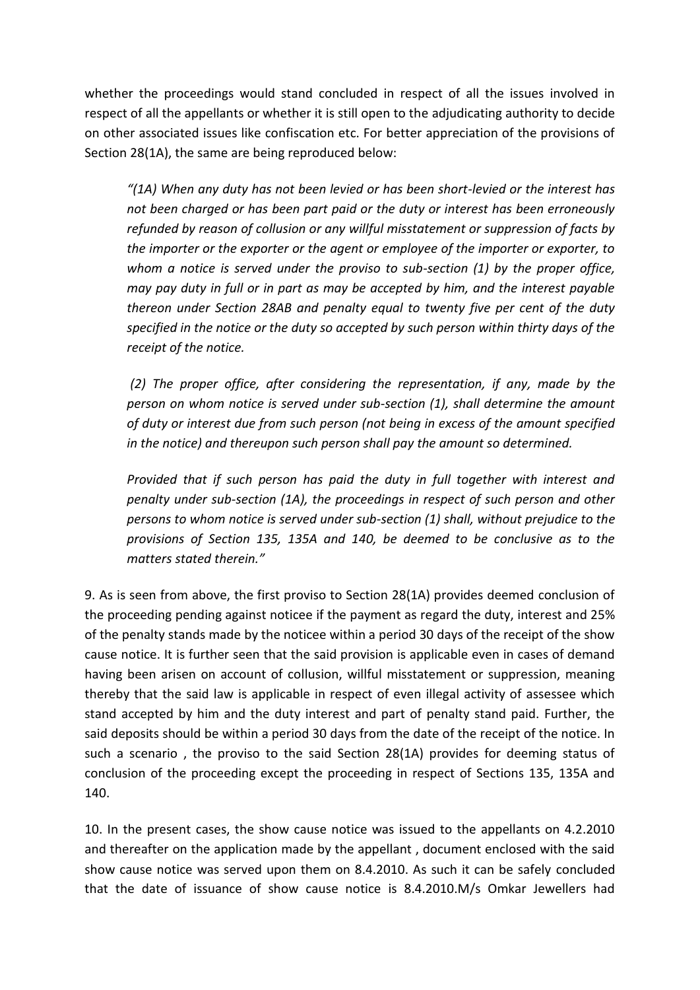whether the proceedings would stand concluded in respect of all the issues involved in respect of all the appellants or whether it is still open to the adjudicating authority to decide on other associated issues like confiscation etc. For better appreciation of the provisions of Section 28(1A), the same are being reproduced below:

*͞(1A) When any duty has not been levied or has been short-levied or the interest has not been charged or has been part paid or the duty or interest has been erroneously refunded by reason of collusion or any willful misstatement or suppression of facts by the importer or the exporter or the agent or employee of the importer or exporter, to whom a notice is served under the proviso to sub-section (1) by the proper office, may pay duty in full or in part as may be accepted by him, and the interest payable thereon under Section 28AB and penalty equal to twenty five per cent of the duty specified in the notice or the duty so accepted by such person within thirty days of the receipt of the notice.*

 *(2) The proper office, after considering the representation, if any, made by the person on whom notice is served under sub-section (1), shall determine the amount of duty or interest due from such person (not being in excess of the amount specified in the notice) and thereupon such person shall pay the amount so determined.*

*Provided that if such person has paid the duty in full together with interest and penalty under sub-section (1A), the proceedings in respect of such person and other persons to whom notice is served under sub-section (1) shall, without prejudice to the provisions of Section 135, 135A and 140, be deemed to be conclusive as to the matters stated therein.͟*

9. As is seen from above, the first proviso to Section 28(1A) provides deemed conclusion of the proceeding pending against noticee if the payment as regard the duty, interest and 25% of the penalty stands made by the noticee within a period 30 days of the receipt of the show cause notice. It is further seen that the said provision is applicable even in cases of demand having been arisen on account of collusion, willful misstatement or suppression, meaning thereby that the said law is applicable in respect of even illegal activity of assessee which stand accepted by him and the duty interest and part of penalty stand paid. Further, the said deposits should be within a period 30 days from the date of the receipt of the notice. In such a scenario , the proviso to the said Section 28(1A) provides for deeming status of conclusion of the proceeding except the proceeding in respect of Sections 135, 135A and 140.

10. In the present cases, the show cause notice was issued to the appellants on 4.2.2010 and thereafter on the application made by the appellant , document enclosed with the said show cause notice was served upon them on 8.4.2010. As such it can be safely concluded that the date of issuance of show cause notice is 8.4.2010.M/s Omkar Jewellers had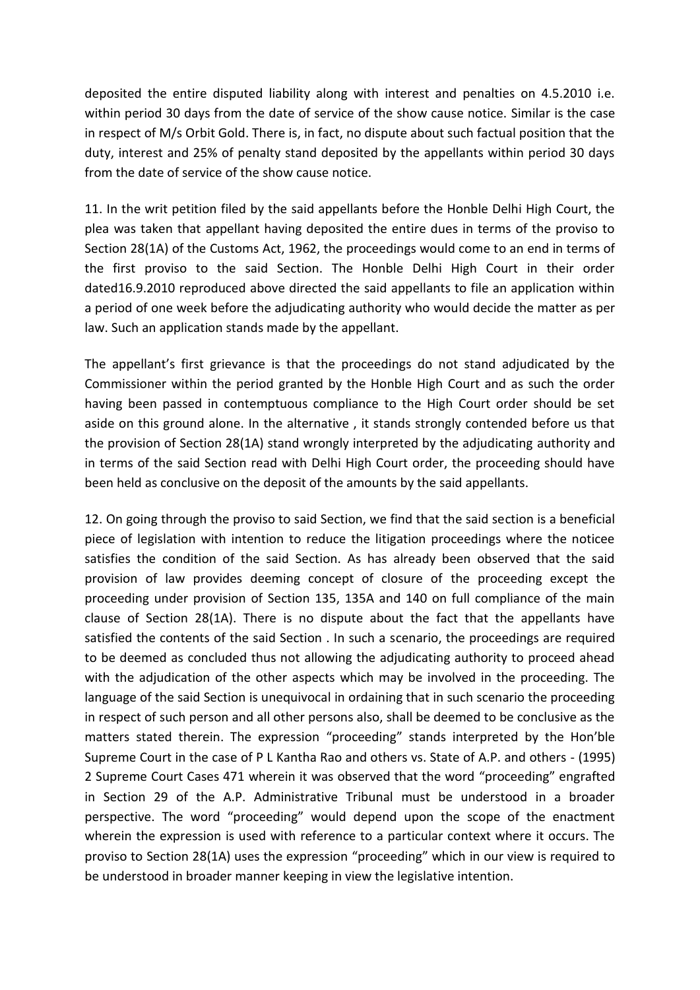deposited the entire disputed liability along with interest and penalties on 4.5.2010 i.e. within period 30 days from the date of service of the show cause notice. Similar is the case in respect of M/s Orbit Gold. There is, in fact, no dispute about such factual position that the duty, interest and 25% of penalty stand deposited by the appellants within period 30 days from the date of service of the show cause notice.

11. In the writ petition filed by the said appellants before the Honble Delhi High Court, the plea was taken that appellant having deposited the entire dues in terms of the proviso to Section 28(1A) of the Customs Act, 1962, the proceedings would come to an end in terms of the first proviso to the said Section. The Honble Delhi High Court in their order dated16.9.2010 reproduced above directed the said appellants to file an application within a period of one week before the adjudicating authority who would decide the matter as per law. Such an application stands made by the appellant.

The appellant's first grievance is that the proceedings do not stand adjudicated by the Commissioner within the period granted by the Honble High Court and as such the order having been passed in contemptuous compliance to the High Court order should be set aside on this ground alone. In the alternative , it stands strongly contended before us that the provision of Section 28(1A) stand wrongly interpreted by the adjudicating authority and in terms of the said Section read with Delhi High Court order, the proceeding should have been held as conclusive on the deposit of the amounts by the said appellants.

12. On going through the proviso to said Section, we find that the said section is a beneficial piece of legislation with intention to reduce the litigation proceedings where the noticee satisfies the condition of the said Section. As has already been observed that the said provision of law provides deeming concept of closure of the proceeding except the proceeding under provision of Section 135, 135A and 140 on full compliance of the main clause of Section 28(1A). There is no dispute about the fact that the appellants have satisfied the contents of the said Section . In such a scenario, the proceedings are required to be deemed as concluded thus not allowing the adjudicating authority to proceed ahead with the adjudication of the other aspects which may be involved in the proceeding. The language of the said Section is unequivocal in ordaining that in such scenario the proceeding in respect of such person and all other persons also, shall be deemed to be conclusive as the matters stated therein. The expression "proceeding" stands interpreted by the Hon'ble Supreme Court in the case of P L Kantha Rao and others vs. State of A.P. and others - (1995) 2 Supreme Court Cases 471 wherein it was observed that the word "proceeding" engrafted in Section 29 of the A.P. Administrative Tribunal must be understood in a broader perspective. The word "proceeding" would depend upon the scope of the enactment wherein the expression is used with reference to a particular context where it occurs. The proviso to Section 28(1A) uses the expression "proceeding" which in our view is required to be understood in broader manner keeping in view the legislative intention.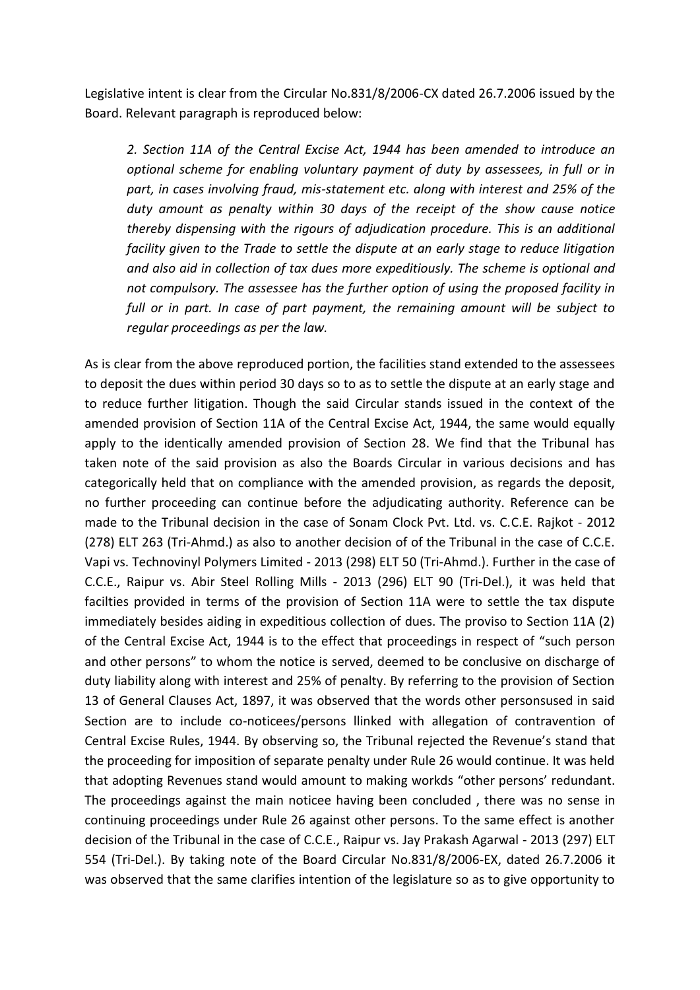Legislative intent is clear from the Circular No.831/8/2006-CX dated 26.7.2006 issued by the Board. Relevant paragraph is reproduced below:

*2. Section 11A of the Central Excise Act, 1944 has been amended to introduce an optional scheme for enabling voluntary payment of duty by assessees, in full or in part, in cases involving fraud, mis-statement etc. along with interest and 25% of the duty amount as penalty within 30 days of the receipt of the show cause notice thereby dispensing with the rigours of adjudication procedure. This is an additional facility given to the Trade to settle the dispute at an early stage to reduce litigation and also aid in collection of tax dues more expeditiously. The scheme is optional and not compulsory. The assessee has the further option of using the proposed facility in*  full or in part. In case of part payment, the remaining amount will be subject to *regular proceedings as per the law.*

As is clear from the above reproduced portion, the facilities stand extended to the assessees to deposit the dues within period 30 days so to as to settle the dispute at an early stage and to reduce further litigation. Though the said Circular stands issued in the context of the amended provision of Section 11A of the Central Excise Act, 1944, the same would equally apply to the identically amended provision of Section 28. We find that the Tribunal has taken note of the said provision as also the Boards Circular in various decisions and has categorically held that on compliance with the amended provision, as regards the deposit, no further proceeding can continue before the adjudicating authority. Reference can be made to the Tribunal decision in the case of Sonam Clock Pvt. Ltd. vs. C.C.E. Rajkot - 2012 (278) ELT 263 (Tri-Ahmd.) as also to another decision of of the Tribunal in the case of C.C.E. Vapi vs. Technovinyl Polymers Limited - 2013 (298) ELT 50 (Tri-Ahmd.). Further in the case of C.C.E., Raipur vs. Abir Steel Rolling Mills - 2013 (296) ELT 90 (Tri-Del.), it was held that facilties provided in terms of the provision of Section 11A were to settle the tax dispute immediately besides aiding in expeditious collection of dues. The proviso to Section 11A (2) of the Central Excise Act, 1944 is to the effect that proceedings in respect of "such person and other persons" to whom the notice is served, deemed to be conclusive on discharge of duty liability along with interest and 25% of penalty. By referring to the provision of Section 13 of General Clauses Act, 1897, it was observed that the words other personsused in said Section are to include co-noticees/persons llinked with allegation of contravention of Central Excise Rules, 1944. By observing so, the Tribunal rejected the Revenue's stand that the proceeding for imposition of separate penalty under Rule 26 would continue. It was held that adopting Revenues stand would amount to making workds "other persons' redundant. The proceedings against the main noticee having been concluded , there was no sense in continuing proceedings under Rule 26 against other persons. To the same effect is another decision of the Tribunal in the case of C.C.E., Raipur vs. Jay Prakash Agarwal - 2013 (297) ELT 554 (Tri-Del.). By taking note of the Board Circular No.831/8/2006-EX, dated 26.7.2006 it was observed that the same clarifies intention of the legislature so as to give opportunity to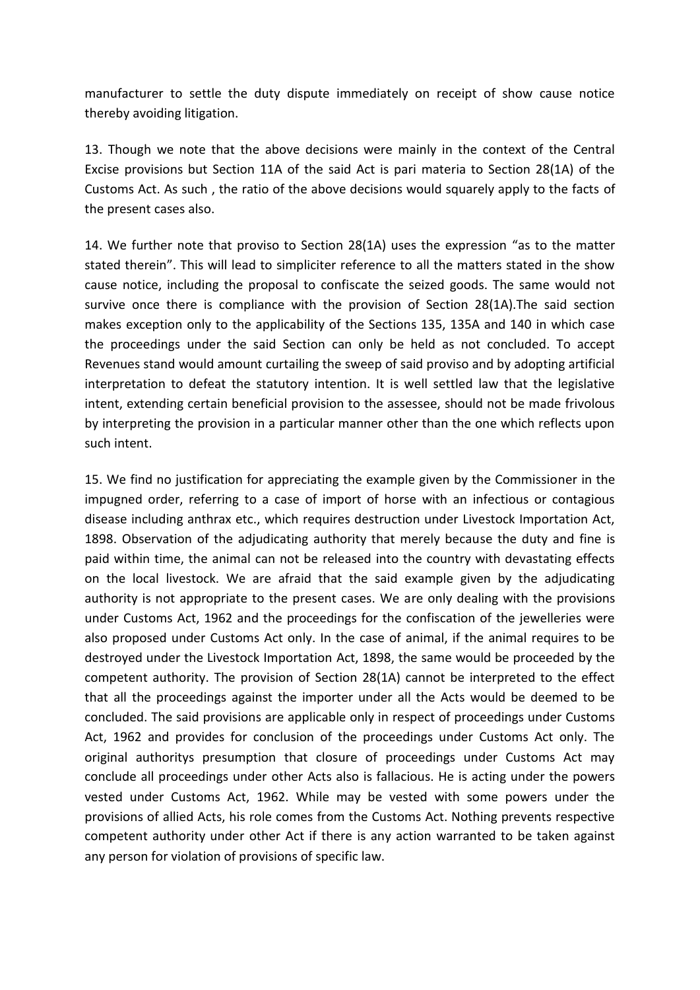manufacturer to settle the duty dispute immediately on receipt of show cause notice thereby avoiding litigation.

13. Though we note that the above decisions were mainly in the context of the Central Excise provisions but Section 11A of the said Act is pari materia to Section 28(1A) of the Customs Act. As such , the ratio of the above decisions would squarely apply to the facts of the present cases also.

14. We further note that proviso to Section 28(1A) uses the expression "as to the matter stated therein<sup>"</sup>. This will lead to simpliciter reference to all the matters stated in the show cause notice, including the proposal to confiscate the seized goods. The same would not survive once there is compliance with the provision of Section 28(1A).The said section makes exception only to the applicability of the Sections 135, 135A and 140 in which case the proceedings under the said Section can only be held as not concluded. To accept Revenues stand would amount curtailing the sweep of said proviso and by adopting artificial interpretation to defeat the statutory intention. It is well settled law that the legislative intent, extending certain beneficial provision to the assessee, should not be made frivolous by interpreting the provision in a particular manner other than the one which reflects upon such intent.

15. We find no justification for appreciating the example given by the Commissioner in the impugned order, referring to a case of import of horse with an infectious or contagious disease including anthrax etc., which requires destruction under Livestock Importation Act, 1898. Observation of the adjudicating authority that merely because the duty and fine is paid within time, the animal can not be released into the country with devastating effects on the local livestock. We are afraid that the said example given by the adjudicating authority is not appropriate to the present cases. We are only dealing with the provisions under Customs Act, 1962 and the proceedings for the confiscation of the jewelleries were also proposed under Customs Act only. In the case of animal, if the animal requires to be destroyed under the Livestock Importation Act, 1898, the same would be proceeded by the competent authority. The provision of Section 28(1A) cannot be interpreted to the effect that all the proceedings against the importer under all the Acts would be deemed to be concluded. The said provisions are applicable only in respect of proceedings under Customs Act, 1962 and provides for conclusion of the proceedings under Customs Act only. The original authoritys presumption that closure of proceedings under Customs Act may conclude all proceedings under other Acts also is fallacious. He is acting under the powers vested under Customs Act, 1962. While may be vested with some powers under the provisions of allied Acts, his role comes from the Customs Act. Nothing prevents respective competent authority under other Act if there is any action warranted to be taken against any person for violation of provisions of specific law.